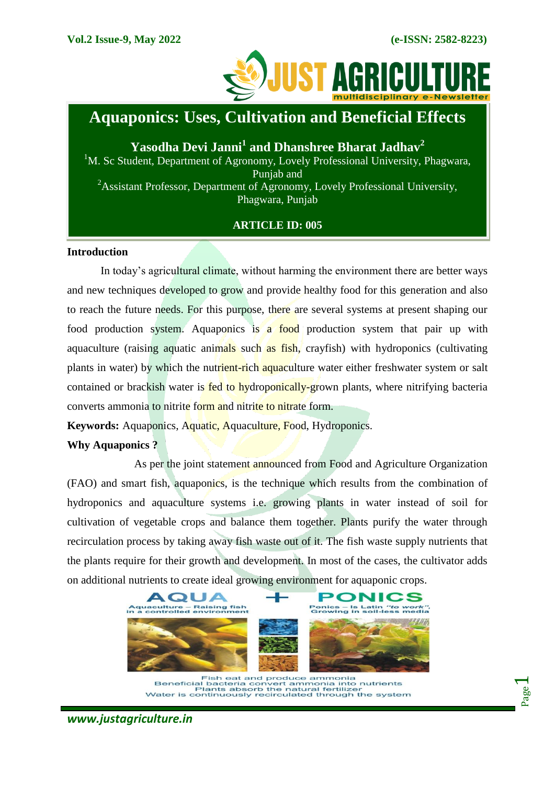Page  $\overline{\phantom{0}}$ 



# **Aquaponics: Uses, Cultivation and Beneficial Effects**

**Yasodha Devi Janni<sup>1</sup> and Dhanshree Bharat Jadhav<sup>2</sup>** <sup>1</sup>M. Sc Student, Department of Agronomy, Lovely Professional University, Phagwara, Punjab and <sup>2</sup>Assistant Professor, Department of Agronomy, Lovely Professional University, Phagwara, Punjab

# **ARTICLE ID: 005**

# **Introduction**

In today's agricultural climate, without harming the environment there are better ways and new techniques developed to grow and provide healthy food for this generation and also to reach the future needs. For this purpose, there are several systems at present shaping our food production system. Aquaponics is a food production system that pair up with aquaculture (raising aquatic animals such as fish, crayfish) with hydroponics (cultivating plants in water) by which the nutrient-rich aquaculture water either freshwater system or salt contained or brackish water is **fed to hydroponically-grown** plants, where nitrifying bacteria converts ammonia to nitrite form and nitrite to nitrate form.

**Keywords:** Aquaponics, Aquatic, Aquaculture, Food, Hydroponics.

# **Why Aquaponics ?**

As per the joint statement announced from Food and Agriculture Organization (FAO) and smart fish, aquaponics, is the technique which results from the combination of hydroponics and aquaculture systems i.e. growing plants in water instead of soil for cultivation of vegetable crops and balance them together. Plants purify the water through recirculation process by taking away fish waste out of it. The fish waste supply nutrients that the plants require for their growth and development. In most of the cases, the cultivator adds on additional nutrients to create ideal growing environment for aquaponic crops.



Fish eat and produce ammonia<br>Beneficial bacteria convert ammonia into nutrients<br>Water is continuously recirculated through the system

*www.justagriculture.in*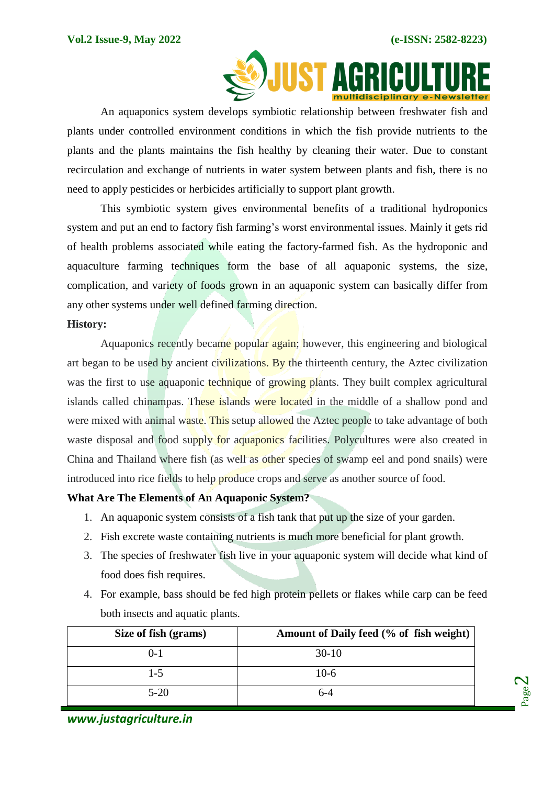Page  $\boldsymbol{\sim}$ 



An aquaponics system develops symbiotic relationship between freshwater fish and plants under controlled environment conditions in which the fish provide nutrients to the plants and the plants maintains the fish healthy by cleaning their water. Due to constant recirculation and exchange of nutrients in water system between plants and fish, there is no need to apply pesticides or herbicides artificially to support plant growth.

This symbiotic system gives environmental benefits of a traditional hydroponics system and put an end to factory fish farming's worst environmental issues. Mainly it gets rid of health problems associated while eating the factory-farmed fish. As the hydroponic and aquaculture farming techniques form the base of all aquaponic systems, the size, complication, and variety of foods grown in an aquaponic system can basically differ from any other systems under well defined farming direction.

#### **History:**

Aquaponics recently became popular again; however, this engineering and biological art began to be used by ancient civilizations. By the thirteenth century, the Aztec civilization was the first to use aquaponic technique of growing plants. They built complex agricultural islands called chinampas. These islands were located in the middle of a shallow pond and were mixed with animal waste. This setup allowed the Aztec people to take advantage of both waste disposal and food supply for aquaponics facilities. Polycultures were also created in China and Thailand where fish (as well as other species of swamp eel and pond snails) were introduced into rice fields to help produce crops and serve as another source of food.

# **What Are The Elements of An Aquaponic System?**

- 1. An aquaponic system consists of a fish tank that put up the size of your garden.
- 2. Fish excrete waste containing nutrients is much more beneficial for plant growth.
- 3. The species of freshwater fish live in your aquaponic system will decide what kind of food does fish requires.
- 4. For example, bass should be fed high protein pellets or flakes while carp can be feed both insects and aquatic plants.

| Size of fish (grams) | Amount of Daily feed (% of fish weight) |
|----------------------|-----------------------------------------|
| $() - 1$             | $30-10$                                 |
| $1 - 5$              | $10-6$                                  |
| $5 - 20$             |                                         |

*www.justagriculture.in*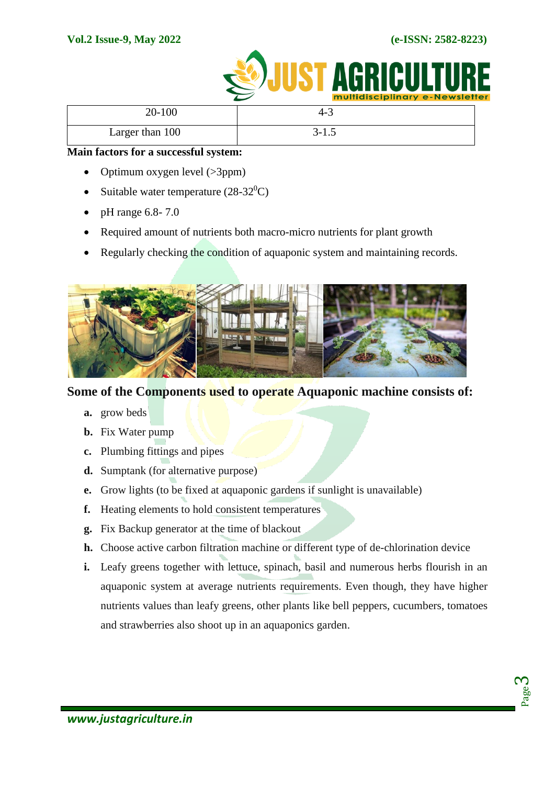

|                 | <b>INDINUSCIPNINGLY E-NEWSIELIE</b> |  |
|-----------------|-------------------------------------|--|
| 20-100          | 4-3                                 |  |
| Larger than 100 | $3 - 1.5$                           |  |

# **Main factors for a successful system:**

- Optimum oxygen level  $(>\!\!3ppm)$
- Suitable water temperature  $(28-32^0C)$
- $\bullet$  pH range 6.8-7.0
- Required amount of nutrients both macro-micro nutrients for plant growth
- Regularly checking the condition of aquaponic system and maintaining records.



# **Some of the Components used to operate Aquaponic machine consists of:**

- **a.** grow beds
- **b.** Fix Water pump
- **c.** Plumbing fittings and pipes
- **d.** Sumptank (for alternative purpose)
- **e.** Grow lights (to be fixed at aquaponic gardens if sunlight is unavailable)
- **f.** Heating elements to hold consistent temperatures
- **g.** Fix Backup generator at the time of blackout
- **h.** Choose active carbon filtration machine or different type of de-chlorination device
- **i.** Leafy greens together with lettuce, spinach, basil and numerous herbs flourish in an aquaponic system at average nutrients requirements. Even though, they have higher nutrients values than leafy greens, other plants like bell peppers, cucumbers, tomatoes and strawberries also shoot up in an aquaponics garden.

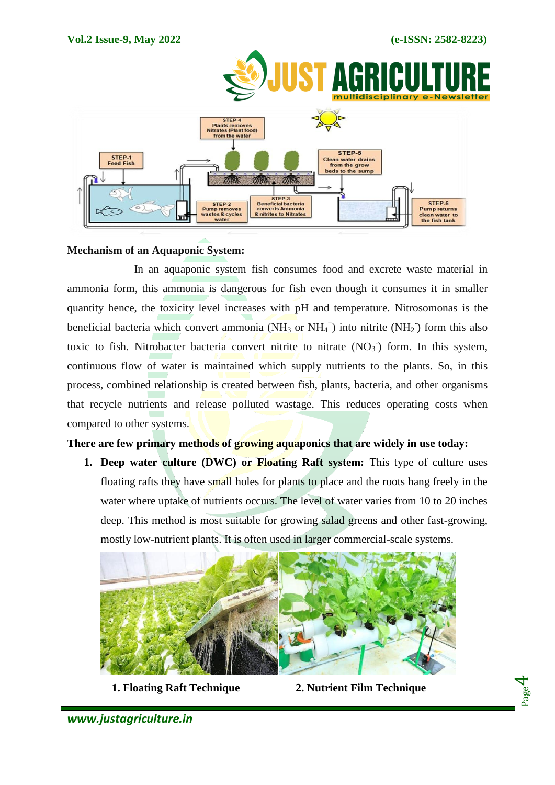

# **Mechanism of an Aquaponic System:**

In an aquaponic system fish consumes food and excrete waste material in ammonia form, this ammonia is dangerous for fish even though it consumes it in smaller quantity hence, the toxicity level increases with pH and temperature. Nitrosomonas is the beneficial bacteria which convert ammonia (NH<sub>3</sub> or NH<sub>4</sub><sup>+</sup>) into nitrite (NH<sub>2</sub><sup>-</sup>) form this also toxic to fish. Nitrobacter bacteria convert nitrite to nitrate  $(NO<sub>3</sub>)$  form. In this system, continuous flow of water is maintained which supply nutrients to the plants. So, in this process, combined relationship is created between fish, plants, bacteria, and other organisms that recycle nutrients and release polluted wastage. This reduces operating costs when compared to other systems.

# **There are few primary methods of growing aquaponics that are widely in use today:**

**1. Deep water culture (DWC) or Floating Raft system:** This type of culture uses floating rafts they have small holes for plants to place and the roots hang freely in the water where uptake of nutrients occurs. The level of water varies from 10 to 20 inches deep. This method is most suitable for growing salad greens and other fast-growing, mostly low-nutrient plants. It is often used in larger commercial-scale systems.



 **1. Floating Raft Technique 2. Nutrient Film Technique**

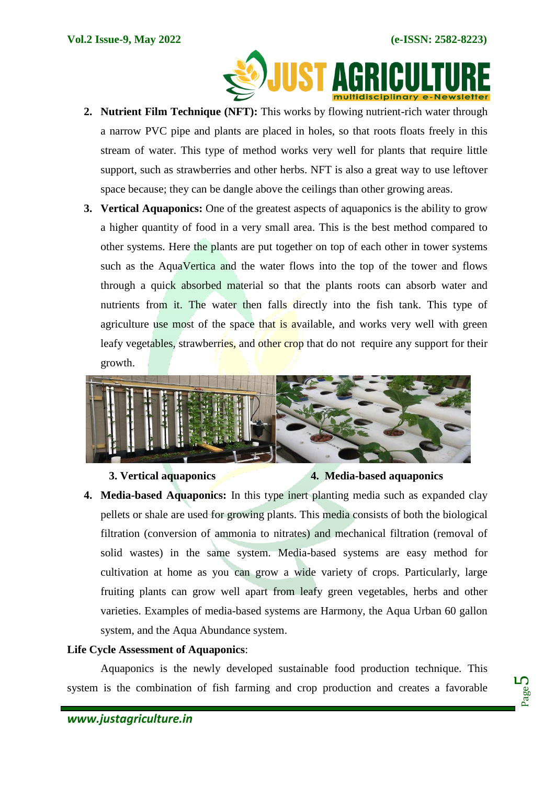

- **2. Nutrient Film Technique (NFT):** This works by flowing nutrient-rich water through a narrow PVC pipe and plants are placed in holes, so that roots floats freely in this stream of water. This type of method works very well for plants that require little support, such as strawberries and other herbs. NFT is also a great way to use leftover space because; they can be dangle above the ceilings than other growing areas.
- **3. Vertical Aquaponics:** One of the greatest aspects of aquaponics is the ability to grow a higher quantity of food in a very small area. This is the best method compared to other systems. Here the plants are put together on top of each other in tower systems such as the AquaVertica and the water flows into the top of the tower and flows through a quick absorbed material so that the plants roots can absorb water and nutrients from it. The water then falls directly into the fish tank. This type of agriculture use most of the space that is available, and works very well with green leafy vegetables, strawberries, and other crop that do not require any support for their growth.



#### **3. Vertical aquaponics 4. Media-based aquaponics**

**4. Media-based Aquaponics:** In this type inert planting media such as expanded clay pellets or shale are used for growing plants. This media consists of both the biological filtration (conversion of ammonia to nitrates) and mechanical filtration (removal of solid wastes) in the same system. Media-based systems are easy method for cultivation at home as you can grow a wide variety of crops. Particularly, large fruiting plants can grow well apart from leafy green vegetables, herbs and other varieties. Examples of media-based systems are Harmony, the Aqua Urban 60 gallon system, and the Aqua Abundance system.

# **Life Cycle Assessment of Aquaponics**:

Aquaponics is the newly developed sustainable food production technique. This system is the combination of fish farming and crop production and creates a favorable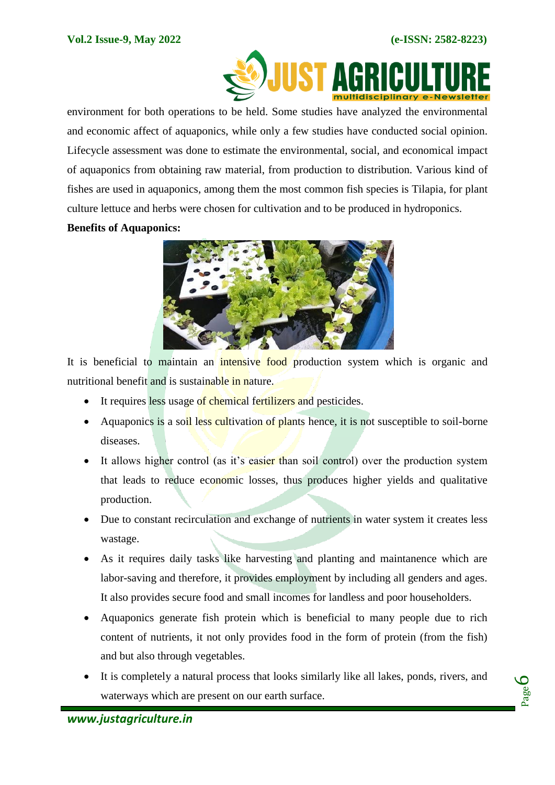

environment for both operations to be held. Some studies have analyzed the environmental and economic affect of aquaponics, while only a few studies have conducted social opinion. Lifecycle assessment was done to estimate the environmental, social, and economical impact of aquaponics from obtaining raw material, from production to distribution. Various kind of fishes are used in aquaponics, among them the most common fish species is Tilapia, for plant culture lettuce and herbs were chosen for cultivation and to be produced in hydroponics.

# **Benefits of Aquaponics:**



It is beneficial to maintain an intensive food production system which is organic and nutritional benefit and is sustainable in nature.

- It requires less usage of chemical fertilizers and pesticides.
- Aquaponics is a soil less cultivation of plants hence, it is not susceptible to soil-borne diseases.
- It allows higher control (as it's easier than soil control) over the production system that leads to reduce economic losses, thus produces higher yields and qualitative production.
- Due to constant recirculation and exchange of nutrients in water system it creates less wastage.
- As it requires daily tasks like harvesting and planting and maintanence which are labor-saving and therefore, it provides employment by including all genders and ages. It also provides secure food and small incomes for landless and poor householders.
- Aquaponics generate fish protein which is beneficial to many people due to rich content of nutrients, it not only provides food in the form of protein (from the fish) and but also through vegetables.
- It is completely a natural process that looks similarly like all lakes, ponds, rivers, and waterways which are present on our earth surface.